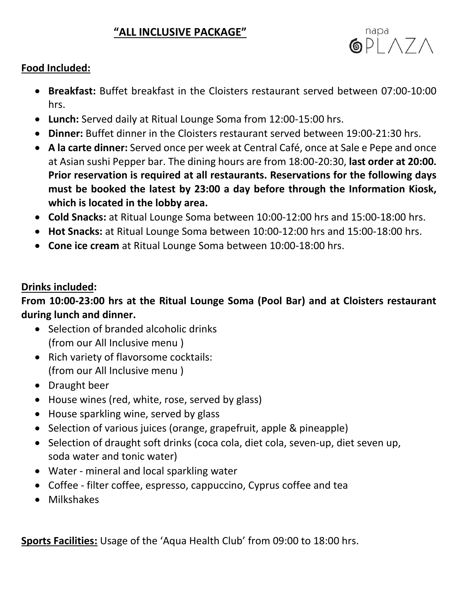### **"ALL INCLUSIVE PACKAGE"**



#### **Food Included:**

- **Breakfast:** Buffet breakfast in the Cloisters restaurant served between 07:00-10:00 hrs.
- **Lunch:** Served daily at Ritual Lounge Soma from 12:00-15:00 hrs.
- **Dinner:** Buffet dinner in the Cloisters restaurant served between 19:00-21:30 hrs.
- **A la carte dinner:** Served once per week at Central Café, once at Sale e Pepe and once at Asian sushi Pepper bar. The dining hours are from 18:00-20:30, **last order at 20:00***.*  **Prior reservation is required at all restaurants. Reservations for the following days must be booked the latest by 23:00 a day before through the Information Kiosk, which is located in the lobby area.**
- **Cold Snacks:** at Ritual Lounge Soma between 10:00-12:00 hrs and 15:00-18:00 hrs.
- **Hot Snacks:** at Ritual Lounge Soma between 10:00-12:00 hrs and 15:00-18:00 hrs.
- **Cone ice cream** at Ritual Lounge Soma between 10:00-18:00 hrs.

#### **Drinks included:**

# **From 10:00-23:00 hrs at the Ritual Lounge Soma (Pool Bar) and at Cloisters restaurant during lunch and dinner.**

- Selection of branded alcoholic drinks (from our All Inclusive menu )
- Rich variety of flavorsome cocktails: (from our All Inclusive menu )
- Draught beer
- House wines (red, white, rose, served by glass)
- House sparkling wine, served by glass
- Selection of various juices (orange, grapefruit, apple & pineapple)
- Selection of draught soft drinks (coca cola, diet cola, seven-up, diet seven up, soda water and tonic water)
- Water mineral and local sparkling water
- Coffee filter coffee, espresso, cappuccino, Cyprus coffee and tea
- Milkshakes

**Sports Facilities:** Usage of the 'Aqua Health Club' from 09:00 to 18:00 hrs.